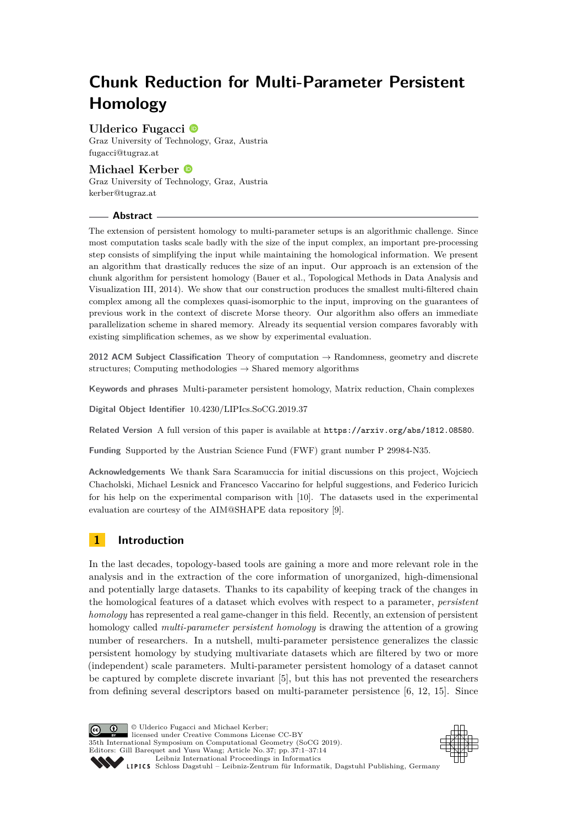# **Chunk Reduction for Multi-Parameter Persistent Homology**

# **Ulderico Fugacci**

Graz University of Technology, Graz, Austria [fugacci@tugraz.at](mailto:fugacci@tugraz.at)

# **Michael Kerber**

Graz University of Technology, Graz, Austria [kerber@tugraz.at](mailto:kerber@tugraz.at)

## **Abstract**

The extension of persistent homology to multi-parameter setups is an algorithmic challenge. Since most computation tasks scale badly with the size of the input complex, an important pre-processing step consists of simplifying the input while maintaining the homological information. We present an algorithm that drastically reduces the size of an input. Our approach is an extension of the chunk algorithm for persistent homology (Bauer et al., Topological Methods in Data Analysis and Visualization III, 2014). We show that our construction produces the smallest multi-filtered chain complex among all the complexes quasi-isomorphic to the input, improving on the guarantees of previous work in the context of discrete Morse theory. Our algorithm also offers an immediate parallelization scheme in shared memory. Already its sequential version compares favorably with existing simplification schemes, as we show by experimental evaluation.

**2012 ACM Subject Classification** Theory of computation → Randomness, geometry and discrete structures; Computing methodologies  $\rightarrow$  Shared memory algorithms

**Keywords and phrases** Multi-parameter persistent homology, Matrix reduction, Chain complexes

**Digital Object Identifier** [10.4230/LIPIcs.SoCG.2019.37](https://doi.org/10.4230/LIPIcs.SoCG.2019.37)

**Related Version** A full version of this paper is available at <https://arxiv.org/abs/1812.08580>.

**Funding** Supported by the Austrian Science Fund (FWF) grant number P 29984-N35.

**Acknowledgements** We thank Sara Scaramuccia for initial discussions on this project, Wojciech Chacholski, Michael Lesnick and Francesco Vaccarino for helpful suggestions, and Federico Iuricich for his help on the experimental comparison with [\[10\]](#page-13-0). The datasets used in the experimental evaluation are courtesy of the AIM@SHAPE data repository [\[9\]](#page-13-1).

# **1 Introduction**

In the last decades, topology-based tools are gaining a more and more relevant role in the analysis and in the extraction of the core information of unorganized, high-dimensional and potentially large datasets. Thanks to its capability of keeping track of the changes in the homological features of a dataset which evolves with respect to a parameter, *persistent homology* has represented a real game-changer in this field. Recently, an extension of persistent homology called *multi-parameter persistent homology* is drawing the attention of a growing number of researchers. In a nutshell, multi-parameter persistence generalizes the classic persistent homology by studying multivariate datasets which are filtered by two or more (independent) scale parameters. Multi-parameter persistent homology of a dataset cannot be captured by complete discrete invariant [\[5\]](#page-13-2), but this has not prevented the researchers from defining several descriptors based on multi-parameter persistence [\[6,](#page-13-3) [12,](#page-13-4) [15\]](#page-13-5). Since

© Ulderico Fugacci and Michael Kerber;  $\boxed{6}$  0 licensed under Creative Commons License CC-BY 35th International Symposium on Computational Geometry (SoCG 2019). Editors: Gill Barequet and Yusu Wang; Article No. 37; pp. 37:1–37[:14](#page-13-6) [Leibniz International Proceedings in Informatics](https://www.dagstuhl.de/lipics/) [Schloss Dagstuhl – Leibniz-Zentrum für Informatik, Dagstuhl Publishing, Germany](https://www.dagstuhl.de)

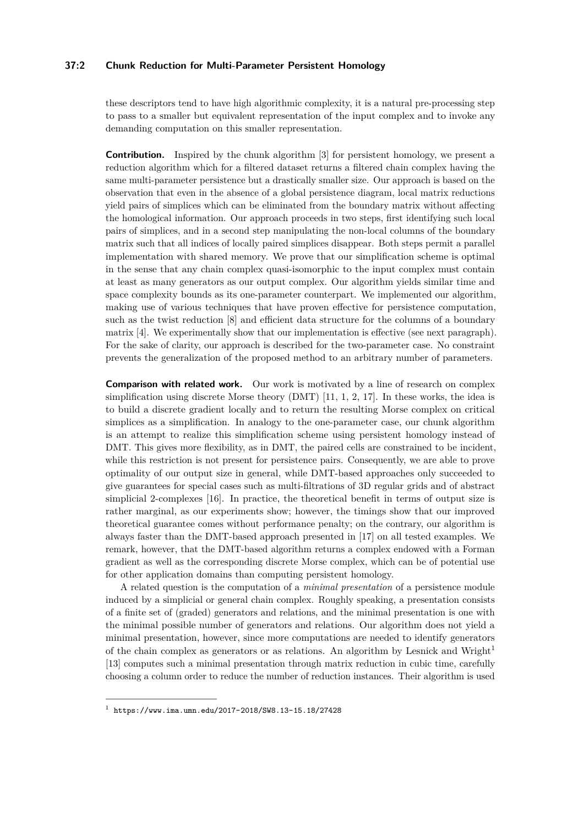## **37:2 Chunk Reduction for Multi-Parameter Persistent Homology**

these descriptors tend to have high algorithmic complexity, it is a natural pre-processing step to pass to a smaller but equivalent representation of the input complex and to invoke any demanding computation on this smaller representation.

**Contribution.** Inspired by the chunk algorithm [\[3\]](#page-13-7) for persistent homology, we present a reduction algorithm which for a filtered dataset returns a filtered chain complex having the same multi-parameter persistence but a drastically smaller size. Our approach is based on the observation that even in the absence of a global persistence diagram, local matrix reductions yield pairs of simplices which can be eliminated from the boundary matrix without affecting the homological information. Our approach proceeds in two steps, first identifying such local pairs of simplices, and in a second step manipulating the non-local columns of the boundary matrix such that all indices of locally paired simplices disappear. Both steps permit a parallel implementation with shared memory. We prove that our simplification scheme is optimal in the sense that any chain complex quasi-isomorphic to the input complex must contain at least as many generators as our output complex. Our algorithm yields similar time and space complexity bounds as its one-parameter counterpart. We implemented our algorithm, making use of various techniques that have proven effective for persistence computation, such as the twist reduction [\[8\]](#page-13-8) and efficient data structure for the columns of a boundary matrix [\[4\]](#page-13-9). We experimentally show that our implementation is effective (see next paragraph). For the sake of clarity, our approach is described for the two-parameter case. No constraint prevents the generalization of the proposed method to an arbitrary number of parameters.

**Comparison with related work.** Our work is motivated by a line of research on complex simplification using discrete Morse theory (DMT) [\[11,](#page-13-10) [1,](#page-12-0) [2,](#page-12-1) [17\]](#page-13-11). In these works, the idea is to build a discrete gradient locally and to return the resulting Morse complex on critical simplices as a simplification. In analogy to the one-parameter case, our chunk algorithm is an attempt to realize this simplification scheme using persistent homology instead of DMT. This gives more flexibility, as in DMT, the paired cells are constrained to be incident, while this restriction is not present for persistence pairs. Consequently, we are able to prove optimality of our output size in general, while DMT-based approaches only succeeded to give guarantees for special cases such as multi-filtrations of 3D regular grids and of abstract simplicial 2-complexes [\[16\]](#page-13-12). In practice, the theoretical benefit in terms of output size is rather marginal, as our experiments show; however, the timings show that our improved theoretical guarantee comes without performance penalty; on the contrary, our algorithm is always faster than the DMT-based approach presented in [\[17\]](#page-13-11) on all tested examples. We remark, however, that the DMT-based algorithm returns a complex endowed with a Forman gradient as well as the corresponding discrete Morse complex, which can be of potential use for other application domains than computing persistent homology.

A related question is the computation of a *minimal presentation* of a persistence module induced by a simplicial or general chain complex. Roughly speaking, a presentation consists of a finite set of (graded) generators and relations, and the minimal presentation is one with the minimal possible number of generators and relations. Our algorithm does not yield a minimal presentation, however, since more computations are needed to identify generators of the chain complex as generators or as relations. An algorithm by Lesnick and Wright<sup>[1](#page-1-0)</sup> [\[13\]](#page-13-13) computes such a minimal presentation through matrix reduction in cubic time, carefully choosing a column order to reduce the number of reduction instances. Their algorithm is used

<span id="page-1-0"></span> $^{\rm 1}$  <https://www.ima.umn.edu/2017-2018/SW8.13-15.18/27428>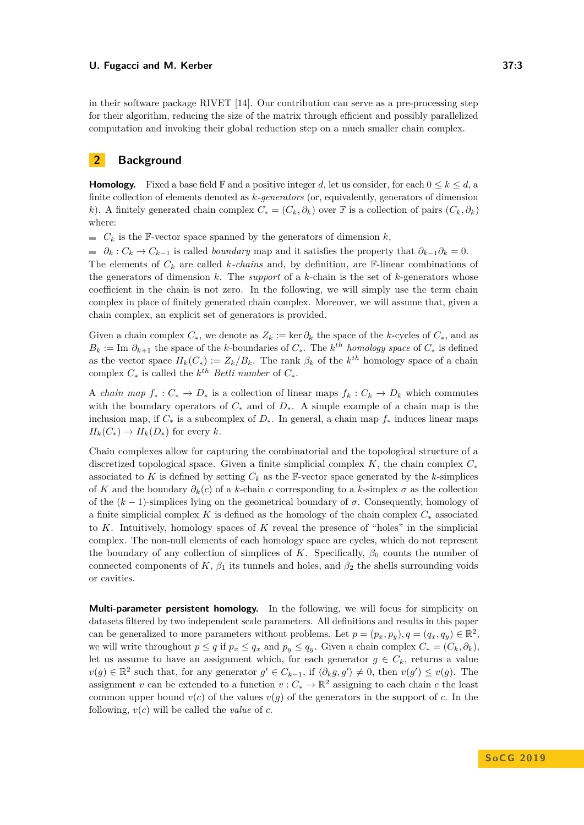in their software package RIVET [\[14\]](#page-13-14). Our contribution can serve as a pre-processing step for their algorithm, reducing the size of the matrix through efficient and possibly parallelized computation and invoking their global reduction step on a much smaller chain complex.

# <span id="page-2-0"></span>**2 Background**

**Homology.** Fixed a base field  $\mathbb{F}$  and a positive integer *d*, let us consider, for each  $0 \leq k \leq d$ , a finite collection of elements denoted as *k-generators* (or, equivalently, generators of dimension *k*). A finitely generated chain complex  $C_* = (C_k, \partial_k)$  over F is a collection of pairs  $(C_k, \partial_k)$ where:

 $C_k$  is the F-vector space spanned by the generators of dimension  $k$ ,

 $\phi_k$  :  $C_k \to C_{k-1}$  is called *boundary* map and it satisfies the property that  $\partial_{k-1}\partial_k = 0$ . The elements of  $C_k$  are called *k*-chains and, by definition, are F-linear combinations of the generators of dimension *k*. The *support* of a *k*-chain is the set of *k*-generators whose coefficient in the chain is not zero. In the following, we will simply use the term chain complex in place of finitely generated chain complex. Moreover, we will assume that, given a chain complex, an explicit set of generators is provided.

Given a chain complex  $C_*$ , we denote as  $Z_k := \ker \partial_k$  the space of the *k*-cycles of  $C_*$ , and as  $B_k := \text{Im } \partial_{k+1}$  the space of the *k*-boundaries of  $C_*$ . The *k*<sup>th</sup> *homology space* of  $C_*$  is defined as the vector space  $H_k(C_*) := Z_k/B_k$ . The rank  $\beta_k$  of the  $k^{th}$  homology space of a chain complex  $C_*$  is called the  $k^{th}$  *Betti number* of  $C_*$ .

A *chain map*  $f_* : C_* \to D_*$  is a collection of linear maps  $f_k : C_k \to D_k$  which commutes with the boundary operators of  $C_*$  and of  $D_*$ . A simple example of a chain map is the inclusion map, if  $C_*$  is a subcomplex of  $D_*$ . In general, a chain map  $f_*$  induces linear maps  $H_k(C_*) \to H_k(D_*)$  for every *k*.

Chain complexes allow for capturing the combinatorial and the topological structure of a discretized topological space. Given a finite simplicial complex *K*, the chain complex *C*<sup>∗</sup> associated to *K* is defined by setting  $C_k$  as the F-vector space generated by the *k*-simplices of *K* and the boundary  $\partial_k(c)$  of a *k*-chain *c* corresponding to a *k*-simplex  $\sigma$  as the collection of the  $(k-1)$ -simplices lying on the geometrical boundary of  $\sigma$ . Consequently, homology of a finite simplicial complex *K* is defined as the homology of the chain complex *C*<sup>∗</sup> associated to *K*. Intuitively, homology spaces of *K* reveal the presence of "holes" in the simplicial complex. The non-null elements of each homology space are cycles, which do not represent the boundary of any collection of simplices of *K*. Specifically,  $\beta_0$  counts the number of connected components of  $K$ ,  $\beta_1$  its tunnels and holes, and  $\beta_2$  the shells surrounding voids or cavities.

**Multi-parameter persistent homology.** In the following, we will focus for simplicity on datasets filtered by two independent scale parameters. All definitions and results in this paper can be generalized to more parameters without problems. Let  $p = (p_x, p_y), q = (q_x, q_y) \in \mathbb{R}^2$ , we will write throughout  $p \le q$  if  $p_x \le q_x$  and  $p_y \le q_y$ . Given a chain complex  $C_* = (C_k, \partial_k)$ , let us assume to have an assignment which, for each generator  $g \in C_k$ , returns a value *v*(*g*) ∈  $\mathbb{R}^2$  such that, for any generator  $g' \in C_{k-1}$ , if  $\langle \partial_k g, g' \rangle \neq 0$ , then *v*(*g*') ≤ *v*(*g*). The assignment *v* can be extended to a function  $v: C_* \to \mathbb{R}^2$  assigning to each chain *c* the least common upper bound  $v(c)$  of the values  $v(g)$  of the generators in the support of *c*. In the following,  $v(c)$  will be called the *value* of *c*.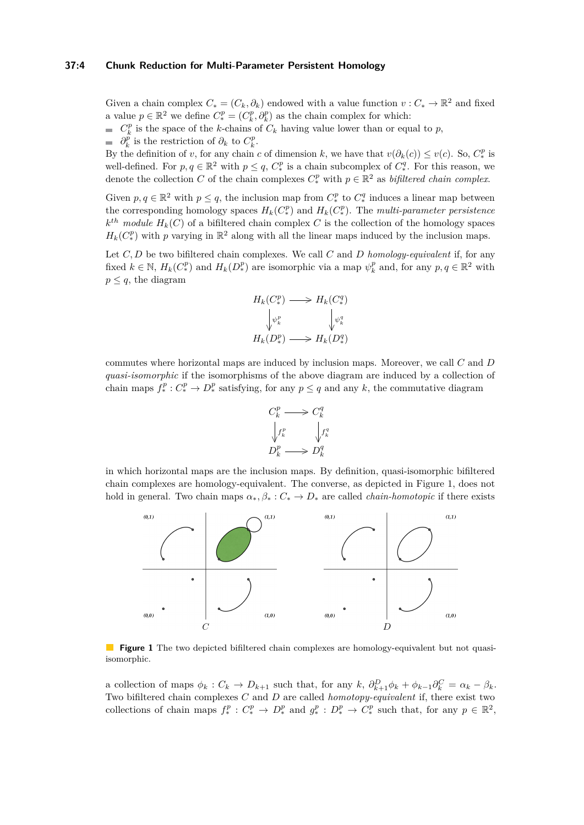## **37:4 Chunk Reduction for Multi-Parameter Persistent Homology**

Given a chain complex  $C_* = (C_k, \partial_k)$  endowed with a value function  $v: C_* \to \mathbb{R}^2$  and fixed a value  $p \in \mathbb{R}^2$  we define  $C^p_*(C^p_k, \partial_k^p)$  as the chain complex for which:

 $C_k^p$  is the space of the *k*-chains of  $C_k$  having value lower than or equal to *p*,

 $∂$ <sup>*k*</sup></sup> is the restriction of  $∂$ <sup>*k*</sup> to  $C$ <sup>*p*</sup><sup>*k*</sup>.

By the definition of *v*, for any chain *c* of dimension *k*, we have that  $v(\partial_k(c)) \leq v(c)$ . So,  $C_*^p$  is well-defined. For  $p, q \in \mathbb{R}^2$  with  $p \leq q, C^p_*$  is a chain subcomplex of  $C^q_*$ . For this reason, we denote the collection *C* of the chain complexes  $C_*^p$  with  $p \in \mathbb{R}^2$  as *bifiltered chain complex*.

Given  $p, q \in \mathbb{R}^2$  with  $p \leq q$ , the inclusion map from  $C^p_*$  to  $C^q_*$  induces a linear map between the corresponding homology spaces  $H_k(C^p_*)$  and  $H_k(C^p_*)$ . The *multi-parameter persistence*  $k^{th}$  *module*  $H_k(C)$  of a bifiltered chain complex *C* is the collection of the homology spaces  $H_k(C_*^p)$  with *p* varying in  $\mathbb{R}^2$  along with all the linear maps induced by the inclusion maps.

Let *C, D* be two bifiltered chain complexes. We call *C* and *D homology-equivalent* if, for any fixed  $k \in \mathbb{N}$ ,  $H_k(C_*^p)$  and  $H_k(D_*^p)$  are isomorphic via a map  $\psi_k^p$  and, for any  $p, q \in \mathbb{R}^2$  with  $p \leq q$ , the diagram

$$
H_k(C_*^p) \longrightarrow H_k(C_*^q)
$$
  

$$
\downarrow \psi_k^p \qquad \qquad \downarrow \psi_k^q
$$
  

$$
H_k(D_*^p) \longrightarrow H_k(D_*^q)
$$

commutes where horizontal maps are induced by inclusion maps. Moreover, we call *C* and *D quasi-isomorphic* if the isomorphisms of the above diagram are induced by a collection of chain maps  $f^p_* : C^p_* \to D^p_*$  satisfying, for any  $p \leq q$  and any k, the commutative diagram



in which horizontal maps are the inclusion maps. By definition, quasi-isomorphic bifiltered chain complexes are homology-equivalent. The converse, as depicted in Figure [1,](#page-3-0) does not hold in general. Two chain maps  $\alpha_*, \beta_* : C_* \to D_*$  are called *chain-homotopic* if there exists

<span id="page-3-0"></span>

**Figure 1** The two depicted bifiltered chain complexes are homology-equivalent but not quasiisomorphic.

a collection of maps  $\phi_k : C_k \to D_{k+1}$  such that, for any  $k, \partial_{k+1}^D \phi_k + \phi_{k-1} \partial_k^C = \alpha_k - \beta_k$ . Two bifiltered chain complexes *C* and *D* are called *homotopy-equivalent* if, there exist two collections of chain maps  $f^p_* : C^p_* \to D^p_*$  and  $g^p_* : D^p_* \to C^p_*$  such that, for any  $p \in \mathbb{R}^2$ ,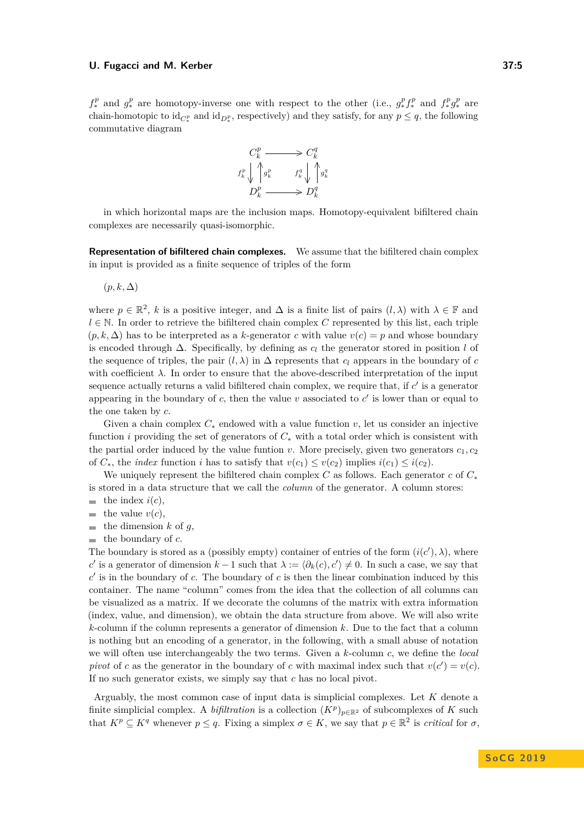$f^p_*$  and  $g^p_*$  are homotopy-inverse one with respect to the other (i.e.,  $g^p_* f^p_*$  and  $f^p_* g^p_*$  are chain-homotopic to  $\mathrm{id}_{C_*^p}$  and  $\mathrm{id}_{D_*^p}$ , respectively) and they satisfy, for any  $p \leq q$ , the following commutative diagram

$$
C_k^p \xrightarrow{\qquad \qquad } C_k^q
$$
  

$$
f_k^p \downarrow \uparrow g_k^p \qquad f_k^q \downarrow \uparrow g_k^q
$$
  

$$
D_k^p \xrightarrow{\qquad \qquad } D_k^q
$$

in which horizontal maps are the inclusion maps. Homotopy-equivalent bifiltered chain complexes are necessarily quasi-isomorphic.

**Representation of bifiltered chain complexes.** We assume that the bifiltered chain complex in input is provided as a finite sequence of triples of the form

 $(p, k, \Delta)$ 

where  $p \in \mathbb{R}^2$ , *k* is a positive integer, and  $\Delta$  is a finite list of pairs  $(l, \lambda)$  with  $\lambda \in \mathbb{F}$  and  $l \in \mathbb{N}$ . In order to retrieve the bifiltered chain complex *C* represented by this list, each triple  $(p, k, \Delta)$  has to be interpreted as a *k*-generator *c* with value  $v(c) = p$  and whose boundary is encoded through ∆. Specifically, by defining as *c<sup>l</sup>* the generator stored in position *l* of the sequence of triples, the pair  $(l, \lambda)$  in  $\Delta$  represents that  $c_l$  appears in the boundary of *c* with coefficient  $\lambda$ . In order to ensure that the above-described interpretation of the input sequence actually returns a valid bifiltered chain complex, we require that, if  $c'$  is a generator appearing in the boundary of  $c$ , then the value  $v$  associated to  $c'$  is lower than or equal to the one taken by *c*.

Given a chain complex *C*<sup>∗</sup> endowed with a value function *v*, let us consider an injective function *i* providing the set of generators of *C*<sup>∗</sup> with a total order which is consistent with the partial order induced by the value funtion *v*. More precisely, given two generators  $c_1, c_2$ of  $C_*$ , the *index* function *i* has to satisfy that  $v(c_1) \le v(c_2)$  implies  $i(c_1) \le i(c_2)$ .

We uniquely represent the bifiltered chain complex *C* as follows. Each generator *c* of *C*<sup>∗</sup> is stored in a data structure that we call the *column* of the generator. A column stores:

 $\rightarrow$ the index  $i(c)$ ,

- the value  $v(c)$ ,  $\blacksquare$
- the dimension *k* of *g*,  $\equiv$
- $\blacksquare$  the boundary of *c*.

The boundary is stored as a (possibly empty) container of entries of the form  $(i(c'), \lambda)$ , where *c*<sup>i</sup> is a generator of dimension  $k-1$  such that  $\lambda := \langle \partial_k(c), c' \rangle \neq 0$ . In such a case, we say that  $c'$  is in the boundary of  $c$ . The boundary of  $c$  is then the linear combination induced by this container. The name "column" comes from the idea that the collection of all columns can be visualized as a matrix. If we decorate the columns of the matrix with extra information (index, value, and dimension), we obtain the data structure from above. We will also write *k*-column if the column represents a generator of dimension *k*. Due to the fact that a column is nothing but an encoding of a generator, in the following, with a small abuse of notation we will often use interchangeably the two terms. Given a *k*-column *c*, we define the *local pivot* of *c* as the generator in the boundary of *c* with maximal index such that  $v(c') = v(c)$ . If no such generator exists, we simply say that *c* has no local pivot.

Arguably, the most common case of input data is simplicial complexes. Let *K* denote a finite simplicial complex. A *bifiltration* is a collection  $(K^p)_{p \in \mathbb{R}^2}$  of subcomplexes of *K* such that  $K^p \subseteq K^q$  whenever  $p \leq q$ . Fixing a simplex  $\sigma \in K$ , we say that  $p \in \mathbb{R}^2$  is *critical* for  $\sigma$ ,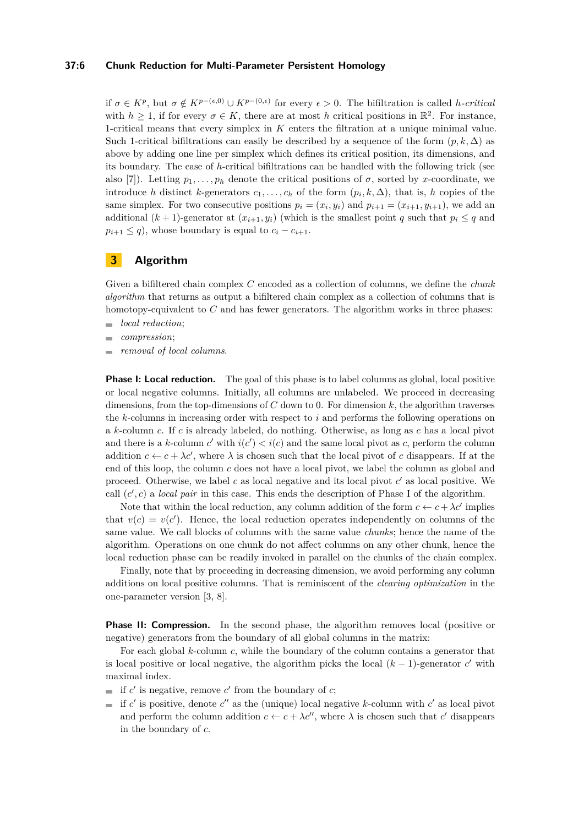## **37:6 Chunk Reduction for Multi-Parameter Persistent Homology**

if  $\sigma \in K^p$ , but  $\sigma \notin K^{p-(\epsilon,0)} \cup K^{p-(0,\epsilon)}$  for every  $\epsilon > 0$ . The bifiltration is called *h*-critical with  $h \geq 1$ , if for every  $\sigma \in K$ , there are at most *h* critical positions in  $\mathbb{R}^2$ . For instance, 1-critical means that every simplex in *K* enters the filtration at a unique minimal value. Such 1-critical bifiltrations can easily be described by a sequence of the form  $(p, k, \Delta)$  as above by adding one line per simplex which defines its critical position, its dimensions, and its boundary. The case of *h*-critical bifiltrations can be handled with the following trick (see also [\[7\]](#page-13-15)). Letting  $p_1, \ldots, p_h$  denote the critical positions of  $\sigma$ , sorted by *x*-coordinate, we introduce *h* distinct *k*-generators  $c_1, \ldots, c_h$  of the form  $(p_i, k, \Delta)$ , that is, *h* copies of the same simplex. For two consecutive positions  $p_i = (x_i, y_i)$  and  $p_{i+1} = (x_{i+1}, y_{i+1})$ , we add an additional  $(k+1)$ -generator at  $(x_{i+1}, y_i)$  (which is the smallest point *q* such that  $p_i \leq q$  and  $p_{i+1} \leq q$ , whose boundary is equal to  $c_i - c_{i+1}$ .

# **3 Algorithm**

Given a bifiltered chain complex *C* encoded as a collection of columns, we define the *chunk algorithm* that returns as output a bifiltered chain complex as a collection of columns that is homotopy-equivalent to C and has fewer generators. The algorithm works in three phases:

- *local reduction*;
- *compression*;
- *removal of local columns*.

**Phase I: Local reduction.** The goal of this phase is to label columns as global, local positive or local negative columns. Initially, all columns are unlabeled. We proceed in decreasing dimensions, from the top-dimensions of *C* down to 0. For dimension *k*, the algorithm traverses the *k*-columns in increasing order with respect to *i* and performs the following operations on a *k*-column *c*. If *c* is already labeled, do nothing. Otherwise, as long as *c* has a local pivot and there is a *k*-column  $c'$  with  $i(c') < i(c)$  and the same local pivot as *c*, perform the column addition  $c \leftarrow c + \lambda c'$ , where  $\lambda$  is chosen such that the local pivot of *c* disappears. If at the end of this loop, the column *c* does not have a local pivot, we label the column as global and proceed. Otherwise, we label  $c$  as local negative and its local pivot  $c'$  as local positive. We call  $(c', c)$  a *local pair* in this case. This ends the description of Phase I of the algorithm.

Note that within the local reduction, any column addition of the form  $c \leftarrow c + \lambda c'$  implies that  $v(c) = v(c')$ . Hence, the local reduction operates independently on columns of the same value. We call blocks of columns with the same value *chunks*; hence the name of the algorithm. Operations on one chunk do not affect columns on any other chunk, hence the local reduction phase can be readily invoked in parallel on the chunks of the chain complex.

Finally, note that by proceeding in decreasing dimension, we avoid performing any column additions on local positive columns. That is reminiscent of the *clearing optimization* in the one-parameter version [\[3,](#page-13-7) [8\]](#page-13-8).

**Phase II: Compression.** In the second phase, the algorithm removes local (positive or negative) generators from the boundary of all global columns in the matrix:

For each global *k*-column *c*, while the boundary of the column contains a generator that is local positive or local negative, the algorithm picks the local  $(k-1)$ -generator  $c'$  with maximal index.

- if  $c'$  is negative, remove  $c'$  from the boundary of  $c$ ;
- $\blacksquare$ if  $c'$  is positive, denote  $c''$  as the (unique) local negative *k*-column with  $c'$  as local pivot and perform the column addition  $c \leftarrow c + \lambda c''$ , where  $\lambda$  is chosen such that *c*' disappears in the boundary of *c*.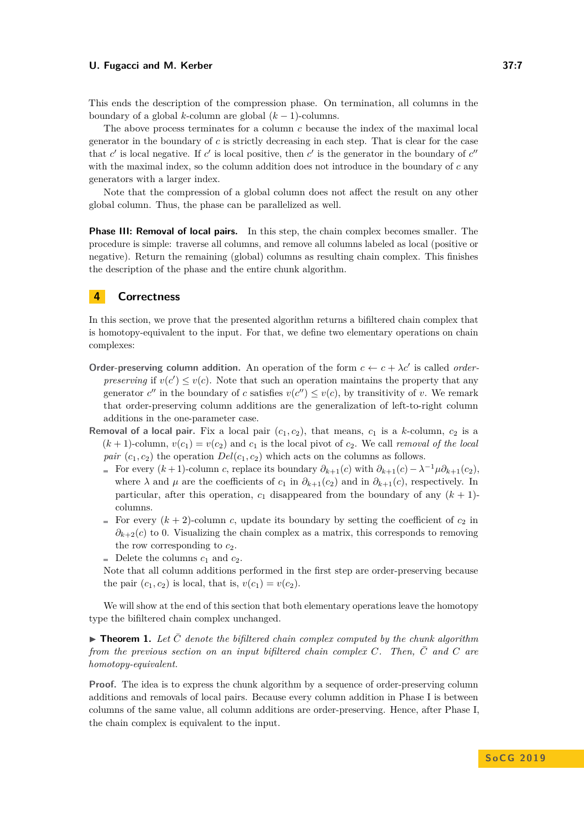This ends the description of the compression phase. On termination, all columns in the boundary of a global *k*-column are global  $(k-1)$ -columns.

The above process terminates for a column *c* because the index of the maximal local generator in the boundary of *c* is strictly decreasing in each step. That is clear for the case that  $c'$  is local negative. If  $c'$  is local positive, then  $c'$  is the generator in the boundary of  $c''$ with the maximal index, so the column addition does not introduce in the boundary of *c* any generators with a larger index.

Note that the compression of a global column does not affect the result on any other global column. Thus, the phase can be parallelized as well.

**Phase III: Removal of local pairs.** In this step, the chain complex becomes smaller. The procedure is simple: traverse all columns, and remove all columns labeled as local (positive or negative). Return the remaining (global) columns as resulting chain complex. This finishes the description of the phase and the entire chunk algorithm.

# **4 Correctness**

In this section, we prove that the presented algorithm returns a bifiltered chain complex that is homotopy-equivalent to the input. For that, we define two elementary operations on chain complexes:

- **Order-preserving column addition.** An operation of the form  $c \leftarrow c + \lambda c'$  is called *orderpreserving* if  $v(c') \leq v(c)$ . Note that such an operation maintains the property that any generator  $c''$  in the boundary of *c* satisfies  $v(c'') \leq v(c)$ , by transitivity of *v*. We remark that order-preserving column additions are the generalization of left-to-right column additions in the one-parameter case.
- **Removal of a local pair.** Fix a local pair  $(c_1, c_2)$ , that means,  $c_1$  is a *k*-column,  $c_2$  is a  $(k+1)$ -column,  $v(c_1) = v(c_2)$  and  $c_1$  is the local pivot of  $c_2$ . We call *removal of the local pair*  $(c_1, c_2)$  the operation  $Del(c_1, c_2)$  which acts on the columns as follows.
	- For every  $(k+1)$ -column *c*, replace its boundary  $\partial_{k+1}(c)$  with  $\partial_{k+1}(c) \lambda^{-1} \mu \partial_{k+1}(c_2)$ , where  $\lambda$  and  $\mu$  are the coefficients of  $c_1$  in  $\partial_{k+1}(c_2)$  and in  $\partial_{k+1}(c)$ , respectively. In particular, after this operation,  $c_1$  disappeared from the boundary of any  $(k+1)$ columns.
	- For every  $(k+2)$ -column *c*, update its boundary by setting the coefficient of  $c_2$  in  $\partial_{k+2}(c)$  to 0. Visualizing the chain complex as a matrix, this corresponds to removing the row corresponding to  $c_2$ .
	- Delete the columns  $c_1$  and  $c_2$ .

Note that all column additions performed in the first step are order-preserving because the pair  $(c_1, c_2)$  is local, that is,  $v(c_1) = v(c_2)$ .

We will show at the end of this section that both elementary operations leave the homotopy type the bifiltered chain complex unchanged.

**Findmen 1.** Let  $\bar{C}$  denote the bifiltered chain complex computed by the chunk algorithm *from the previous section on an input bifiltered chain complex C. Then, C*¯ *and C are homotopy-equivalent.*

**Proof.** The idea is to express the chunk algorithm by a sequence of order-preserving column additions and removals of local pairs. Because every column addition in Phase I is between columns of the same value, all column additions are order-preserving. Hence, after Phase I, the chain complex is equivalent to the input.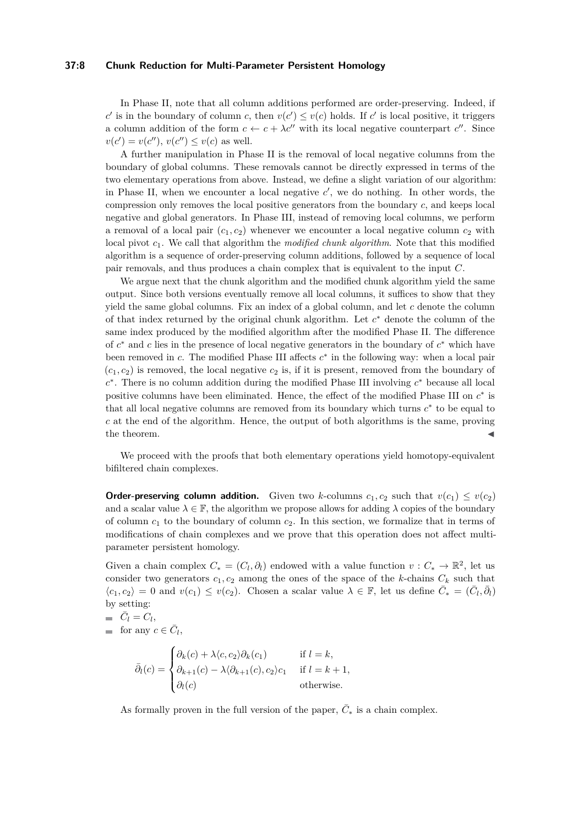## **37:8 Chunk Reduction for Multi-Parameter Persistent Homology**

In Phase II, note that all column additions performed are order-preserving. Indeed, if  $c'$  is in the boundary of column *c*, then  $v(c') \leq v(c)$  holds. If *c*' is local positive, it triggers a column addition of the form  $c \leftarrow c + \lambda c''$  with its local negative counterpart  $c''$ . Since  $v(c') = v(c''), v(c'') \le v(c)$  as well.

A further manipulation in Phase II is the removal of local negative columns from the boundary of global columns. These removals cannot be directly expressed in terms of the two elementary operations from above. Instead, we define a slight variation of our algorithm: in Phase II, when we encounter a local negative  $c'$ , we do nothing. In other words, the compression only removes the local positive generators from the boundary *c*, and keeps local negative and global generators. In Phase III, instead of removing local columns, we perform a removal of a local pair  $(c_1, c_2)$  whenever we encounter a local negative column  $c_2$  with local pivot *c*1. We call that algorithm the *modified chunk algorithm*. Note that this modified algorithm is a sequence of order-preserving column additions, followed by a sequence of local pair removals, and thus produces a chain complex that is equivalent to the input *C*.

We argue next that the chunk algorithm and the modified chunk algorithm yield the same output. Since both versions eventually remove all local columns, it suffices to show that they yield the same global columns. Fix an index of a global column, and let *c* denote the column of that index returned by the original chunk algorithm. Let *c* <sup>∗</sup> denote the column of the same index produced by the modified algorithm after the modified Phase II. The difference of *c* <sup>∗</sup> and *c* lies in the presence of local negative generators in the boundary of *c* <sup>∗</sup> which have been removed in *c*. The modified Phase III affects *c* ∗ in the following way: when a local pair  $(c_1, c_2)$  is removed, the local negative  $c_2$  is, if it is present, removed from the boundary of *c*<sup>\*</sup>. There is no column addition during the modified Phase III involving *c*<sup>\*</sup> because all local positive columns have been eliminated. Hence, the effect of the modified Phase III on  $c^*$  is that all local negative columns are removed from its boundary which turns *c* ∗ to be equal to *c* at the end of the algorithm. Hence, the output of both algorithms is the same, proving the theorem.

We proceed with the proofs that both elementary operations yield homotopy-equivalent bifiltered chain complexes.

**Order-preserving column addition.** Given two *k*-columns  $c_1, c_2$  such that  $v(c_1) \le v(c_2)$ and a scalar value  $\lambda \in \mathbb{F}$ , the algorithm we propose allows for adding  $\lambda$  copies of the boundary of column  $c_1$  to the boundary of column  $c_2$ . In this section, we formalize that in terms of modifications of chain complexes and we prove that this operation does not affect multiparameter persistent homology.

Given a chain complex  $C_* = (C_l, \partial_l)$  endowed with a value function  $v : C_* \to \mathbb{R}^2$ , let us consider two generators  $c_1, c_2$  among the ones of the space of the *k*-chains  $C_k$  such that  $\langle c_1, c_2 \rangle = 0$  and  $v(c_1) \le v(c_2)$ . Chosen a scalar value  $\lambda \in \mathbb{F}$ , let us define  $\overline{C}_* = (\overline{C}_l, \overline{\partial}_l)$ by setting:

$$
\equiv \bar{C}_l = C_l,
$$

$$
\quad \text{for any } c \in \bar{C}_l,
$$

$$
\bar{\partial}_l(c) = \begin{cases} \partial_k(c) + \lambda \langle c, c_2 \rangle \partial_k(c_1) & \text{if } l = k, \\ \partial_{k+1}(c) - \lambda \langle \partial_{k+1}(c), c_2 \rangle c_1 & \text{if } l = k+1, \\ \partial_l(c) & \text{otherwise.} \end{cases}
$$

As formally proven in the full version of the paper,  $\bar{C}_*$  is a chain complex.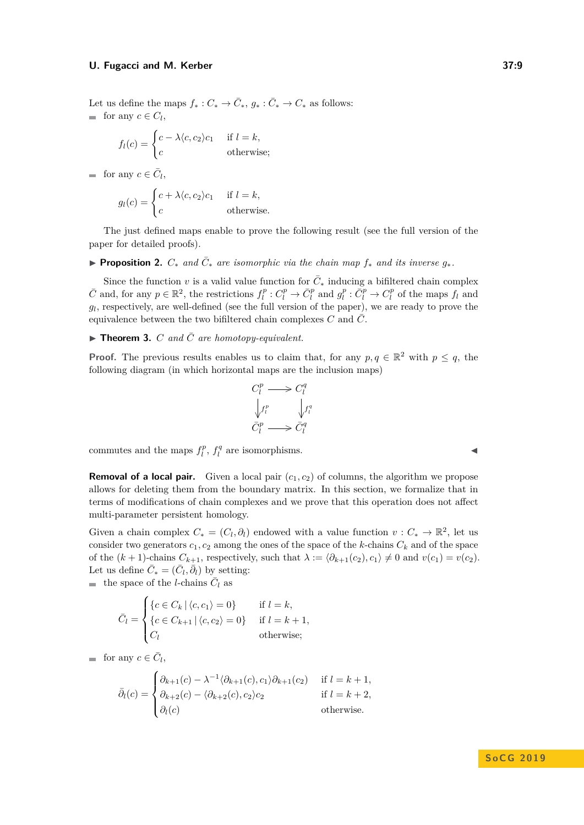Let us define the maps  $f_* : C_* \to \overline{C}_*, g_* : \overline{C}_* \to C_*$  as follows: for any  $c \in C_l$ ,

$$
f_l(c) = \begin{cases} c - \lambda \langle c, c_2 \rangle c_1 & \text{if } l = k, \\ c & \text{otherwise}; \end{cases}
$$

for any  $c \in \overline{C}_l$ ,

$$
g_l(c) = \begin{cases} c + \lambda \langle c, c_2 \rangle c_1 & \text{if } l = k, \\ c & \text{otherwise.} \end{cases}
$$

The just defined maps enable to prove the following result (see the full version of the paper for detailed proofs).

► **Proposition 2.**  $C_*$  and  $\overline{C}_*$  are isomorphic via the chain map  $f_*$  and its inverse  $g_*$ .

Since the function *v* is a valid value function for  $\bar{C}_*$  inducing a bifiltered chain complex  $\overline{C}$  and, for any  $p \in \mathbb{R}^2$ , the restrictions  $f_l^p: C_l^p \to \overline{C}_l^p$  and  $g_l^p: \overline{C}_l^p \to C_l^p$  of the maps  $f_l$  and *gl* , respectively, are well-defined (see the full version of the paper), we are ready to prove the equivalence between the two bifiltered chain complexes  $C$  and  $\overline{C}$ .

## $\blacktriangleright$  **Theorem 3.** *C* and  $\overline{C}$  are homotopy-equivalent.

**Proof.** The previous results enables us to claim that, for any  $p, q \in \mathbb{R}^2$  with  $p \leq q$ , the following diagram (in which horizontal maps are the inclusion maps)

$$
C_l^p \longrightarrow C_l^q
$$
  
\n
$$
\downarrow f_l^p \qquad \qquad \downarrow f_l^q
$$
  
\n
$$
\bar{C}_l^p \longrightarrow \bar{C}_l^q
$$

commutes and the maps  $f_l^p$ ,  $f_l^q$  are isomorphisms.

**Removal of a local pair.** Given a local pair  $(c_1, c_2)$  of columns, the algorithm we propose allows for deleting them from the boundary matrix. In this section, we formalize that in terms of modifications of chain complexes and we prove that this operation does not affect multi-parameter persistent homology.

Given a chain complex  $C_* = (C_l, \partial_l)$  endowed with a value function  $v : C_* \to \mathbb{R}^2$ , let us consider two generators  $c_1, c_2$  among the ones of the space of the *k*-chains  $C_k$  and of the space of the  $(k + 1)$ -chains  $C_{k+1}$ , respectively, such that  $\lambda := \langle \partial_{k+1}(c_2), c_1 \rangle \neq 0$  and  $v(c_1) = v(c_2)$ . Let us define  $\bar{C}_* = (\bar{C}_l, \bar{\partial}_l)$  by setting:

the space of the *l*-chains  $\bar{C}_l$  as

$$
\bar{C}_l = \begin{cases}\n\{c \in C_k \mid \langle c, c_1 \rangle = 0\} & \text{if } l = k, \\
\{c \in C_{k+1} \mid \langle c, c_2 \rangle = 0\} & \text{if } l = k+1, \\
C_l & \text{otherwise};\n\end{cases}
$$

for any  $c \in \overline{C}_l$ ,

$$
\bar{\partial}_l(c) = \begin{cases}\n\partial_{k+1}(c) - \lambda^{-1} \langle \partial_{k+1}(c), c_1 \rangle \partial_{k+1}(c_2) & \text{if } l = k+1, \\
\partial_{k+2}(c) - \langle \partial_{k+2}(c), c_2 \rangle c_2 & \text{if } l = k+2, \\
\partial_l(c) & \text{otherwise.} \n\end{cases}
$$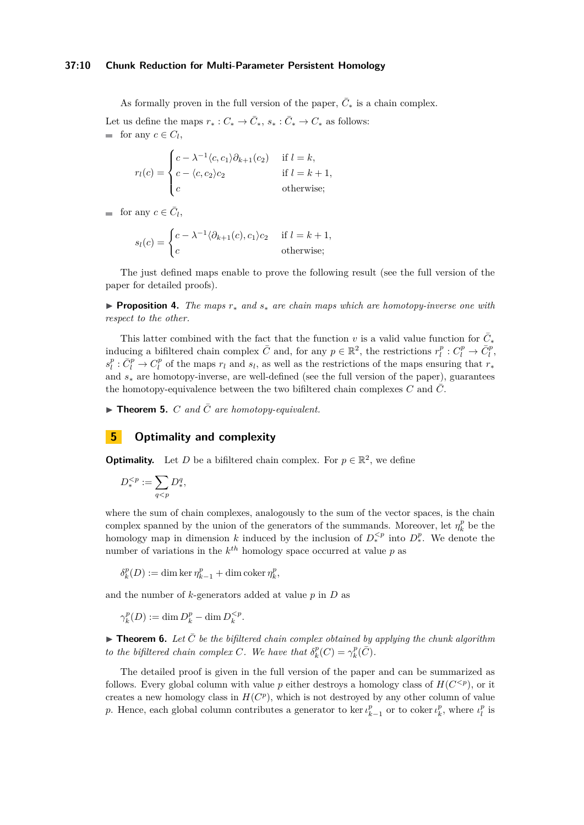#### **37:10 Chunk Reduction for Multi-Parameter Persistent Homology**

As formally proven in the full version of the paper,  $\bar{C}_*$  is a chain complex.

Let us define the maps  $r_* : C_* \to \overline{C}_*, s_* : \overline{C}_* \to C_*$  as follows: for any  $c \in C_l$ ,

$$
r_l(c) = \begin{cases} c - \lambda^{-1} \langle c, c_1 \rangle \partial_{k+1}(c_2) & \text{if } l = k, \\ c - \langle c, c_2 \rangle c_2 & \text{if } l = k+1, \\ c & \text{otherwise}; \end{cases}
$$

for any  $c \in \overline{C}_l$ ,

$$
s_l(c) = \begin{cases} c - \lambda^{-1} \langle \partial_{k+1}(c), c_1 \rangle c_2 & \text{if } l = k+1, \\ c & \text{otherwise}; \end{cases}
$$

The just defined maps enable to prove the following result (see the full version of the paper for detailed proofs).

I **Proposition 4.** *The maps r*<sup>∗</sup> *and s*<sup>∗</sup> *are chain maps which are homotopy-inverse one with respect to the other.*

This latter combined with the fact that the function  $v$  is a valid value function for  $\bar{C}_*$ inducing a bifiltered chain complex  $\overline{C}$  and, for any  $p \in \mathbb{R}^2$ , the restrictions  $r_l^p : C_l^p \to \overline{C_l^p}$ ,  $s_l^p$  :  $\overline{C_l^p}$  →  $C_l^p$  of the maps  $r_l$  and  $s_l$ , as well as the restrictions of the maps ensuring that  $r_*$ and *s*<sup>∗</sup> are homotopy-inverse, are well-defined (see the full version of the paper), guarantees the homotopy-equivalence between the two bifiltered chain complexes *C* and  $\overline{C}$ .

 $\blacktriangleright$  **Theorem 5.** *C* and  $\overline{C}$  are homotopy-equivalent.

## **5 Optimality and complexity**

**Optimality.** Let *D* be a bifiltered chain complex. For  $p \in \mathbb{R}^2$ , we define

$$
D_*^{
$$

where the sum of chain complexes, analogously to the sum of the vector spaces, is the chain complex spanned by the union of the generators of the summands. Moreover, let  $\eta_k^p$  be the homology map in dimension *k* induced by the inclusion of  $D_*^{< p}$  into  $D_*^p$ . We denote the number of variations in the  $k^{th}$  homology space occurred at value  $p$  as

 $\delta_k^p(D) := \dim \ker \eta_{k-1}^p + \dim \operatorname{coker} \eta_k^p,$ 

and the number of *k*-generators added at value *p* in *D* as

 $\gamma_k^p(D) := \dim D_k^p - \dim D_k^{\leq p}$ .

**Findmen 6.** Let  $\overline{C}$  be the bifiltered chain complex obtained by applying the chunk algorithm *to the bifiltered chain complex C. We have that*  $\delta_k^p(C) = \gamma_k^p(\overline{C})$ *.* 

The detailed proof is given in the full version of the paper and can be summarized as follows. Every global column with value p either destroys a homology class of  $H(C^{, or it$ creates a new homology class in  $H(C^p)$ , which is not destroyed by any other column of value *p*. Hence, each global column contributes a generator to ker  $\iota_{k-1}^p$  or to coker  $\iota_k^p$ , where  $\iota_l^p$  is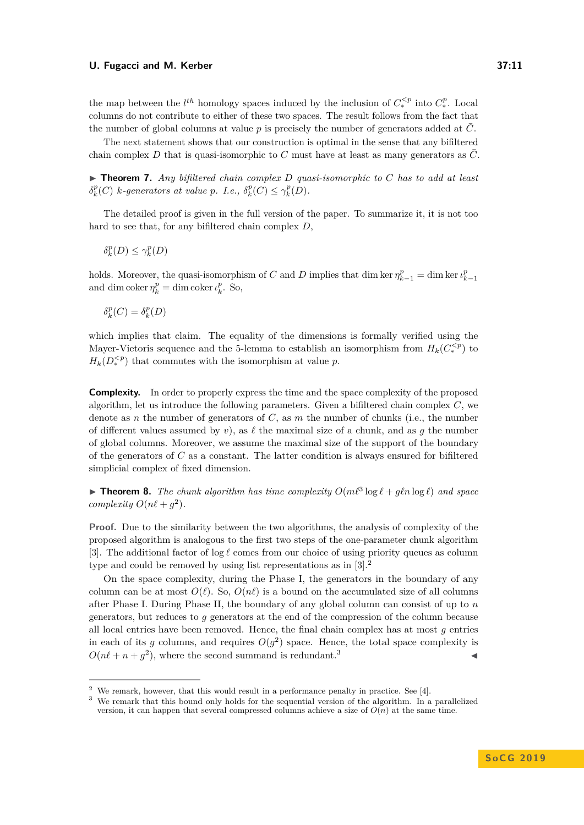the map between the  $l^{th}$  homology spaces induced by the inclusion of  $C_*^{&p}$  into  $C_*^p$ . Local columns do not contribute to either of these two spaces. The result follows from the fact that the number of global columns at value  $p$  is precisely the number of generators added at  $\overline{C}$ .

The next statement shows that our construction is optimal in the sense that any bifiltered chain complex *D* that is quasi-isomorphic to *C* must have at least as many generators as  $\bar{C}$ .

 $\triangleright$  **Theorem 7.** *Any bifiltered chain complex D quasi-isomorphic to C has to add at least δ*<sup>*p*</sup><sub>*k*</sub></sub>(*C*) *k*-generators at value *p. I.e.*,  $δ_k^p(C) \leq γ_k^p(D)$ *.* 

The detailed proof is given in the full version of the paper. To summarize it, it is not too hard to see that, for any bifiltered chain complex *D*,

$$
\delta_k^p(D)\leq \gamma_k^p(D)
$$

holds. Moreover, the quasi-isomorphism of *C* and *D* implies that dim ker  $\eta_{k-1}^p = \dim \ker \iota_{k-1}^p$ and dim coker  $\eta_k^p = \dim \operatorname{coker} \iota_k^p$ . So,

 $\delta_k^p(C) = \delta_k^p(D)$ 

which implies that claim. The equality of the dimensions is formally verified using the Mayer-Vietoris sequence and the 5-lemma to establish an isomorphism from  $H_k(C_*^{&p})$  to  $H_k(D_*^{ that commutes with the isomorphism at value *p*.$ 

**Complexity.** In order to properly express the time and the space complexity of the proposed algorithm, let us introduce the following parameters. Given a bifiltered chain complex *C*, we denote as *n* the number of generators of *C*, as *m* the number of chunks (i.e., the number of different values assumed by  $v$ ), as  $\ell$  the maximal size of a chunk, and as  $g$  the number of global columns. Moreover, we assume the maximal size of the support of the boundary of the generators of *C* as a constant. The latter condition is always ensured for bifiltered simplicial complex of fixed dimension.

**Theorem 8.** The chunk algorithm has time complexity  $O(m^3 \log \ell + g\ell n \log \ell)$  and space *complexity*  $O(n\ell + g^2)$ *.* 

**Proof.** Due to the similarity between the two algorithms, the analysis of complexity of the proposed algorithm is analogous to the first two steps of the one-parameter chunk algorithm [\[3\]](#page-13-7). The additional factor of  $\log \ell$  comes from our choice of using priority queues as column type and could be removed by using list representations as in  $[3].<sup>2</sup>$  $[3].<sup>2</sup>$  $[3].<sup>2</sup>$  $[3].<sup>2</sup>$ 

On the space complexity, during the Phase I, the generators in the boundary of any column can be at most  $O(\ell)$ . So,  $O(n\ell)$  is a bound on the accumulated size of all columns after Phase I. During Phase II, the boundary of any global column can consist of up to *n* generators, but reduces to *g* generators at the end of the compression of the column because all local entries have been removed. Hence, the final chain complex has at most *g* entries in each of its *g* columns, and requires  $O(g^2)$  space. Hence, the total space complexity is  $O(n\ell + n + g^2)$ , where the second summand is redundant.<sup>[3](#page-10-1)</sup>

<span id="page-10-0"></span><sup>2</sup> We remark, however, that this would result in a performance penalty in practice. See [\[4\]](#page-13-9).

<span id="page-10-1"></span><sup>&</sup>lt;sup>3</sup> We remark that this bound only holds for the sequential version of the algorithm. In a parallelized version, it can happen that several compressed columns achieve a size of  $O(n)$  at the same time.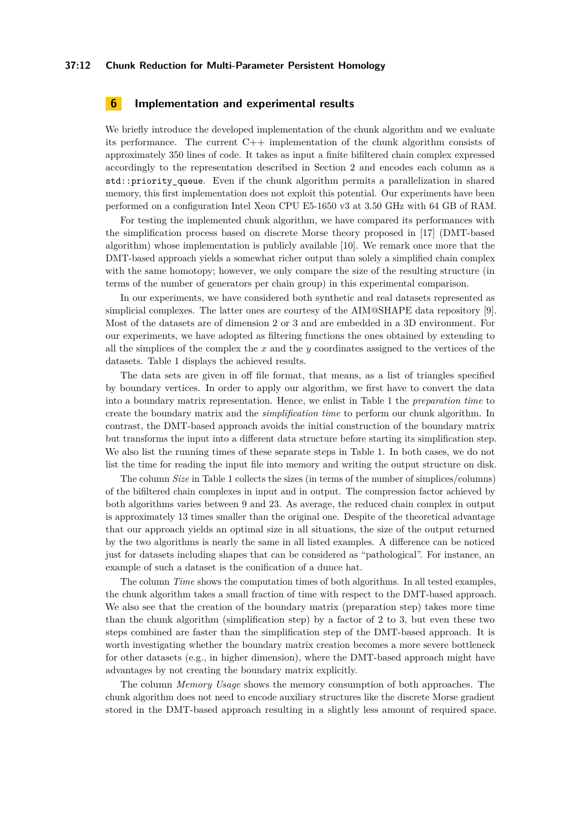#### **37:12 Chunk Reduction for Multi-Parameter Persistent Homology**

## **6 Implementation and experimental results**

We briefly introduce the developed implementation of the chunk algorithm and we evaluate its performance. The current C++ implementation of the chunk algorithm consists of approximately 350 lines of code. It takes as input a finite bifiltered chain complex expressed accordingly to the representation described in Section [2](#page-2-0) and encodes each column as a std::priority\_queue. Even if the chunk algorithm permits a parallelization in shared memory, this first implementation does not exploit this potential. Our experiments have been performed on a configuration Intel Xeon CPU E5-1650 v3 at 3.50 GHz with 64 GB of RAM.

For testing the implemented chunk algorithm, we have compared its performances with the simplification process based on discrete Morse theory proposed in [\[17\]](#page-13-11) (DMT-based algorithm) whose implementation is publicly available [\[10\]](#page-13-0). We remark once more that the DMT-based approach yields a somewhat richer output than solely a simplified chain complex with the same homotopy; however, we only compare the size of the resulting structure (in terms of the number of generators per chain group) in this experimental comparison.

In our experiments, we have considered both synthetic and real datasets represented as simplicial complexes. The latter ones are courtesy of the AIM@SHAPE data repository [\[9\]](#page-13-1). Most of the datasets are of dimension 2 or 3 and are embedded in a 3D environment. For our experiments, we have adopted as filtering functions the ones obtained by extending to all the simplices of the complex the *x* and the *y* coordinates assigned to the vertices of the datasets. Table [1](#page-12-2) displays the achieved results.

The data sets are given in off file format, that means, as a list of triangles specified by boundary vertices. In order to apply our algorithm, we first have to convert the data into a boundary matrix representation. Hence, we enlist in Table [1](#page-12-2) the *preparation time* to create the boundary matrix and the *simplification time* to perform our chunk algorithm. In contrast, the DMT-based approach avoids the initial construction of the boundary matrix but transforms the input into a different data structure before starting its simplification step. We also list the running times of these separate steps in Table [1.](#page-12-2) In both cases, we do not list the time for reading the input file into memory and writing the output structure on disk.

The column *Size* in Table [1](#page-12-2) collects the sizes (in terms of the number of simplices/columns) of the bifiltered chain complexes in input and in output. The compression factor achieved by both algorithms varies between 9 and 23. As average, the reduced chain complex in output is approximately 13 times smaller than the original one. Despite of the theoretical advantage that our approach yields an optimal size in all situations, the size of the output returned by the two algorithms is nearly the same in all listed examples. A difference can be noticed just for datasets including shapes that can be considered as "pathological". For instance, an example of such a dataset is the conification of a dunce hat.

The column *Time* shows the computation times of both algorithms. In all tested examples, the chunk algorithm takes a small fraction of time with respect to the DMT-based approach. We also see that the creation of the boundary matrix (preparation step) takes more time than the chunk algorithm (simplification step) by a factor of 2 to 3, but even these two steps combined are faster than the simplification step of the DMT-based approach. It is worth investigating whether the boundary matrix creation becomes a more severe bottleneck for other datasets (e.g., in higher dimension), where the DMT-based approach might have advantages by not creating the boundary matrix explicitly.

The column *Memory Usage* shows the memory consumption of both approaches. The chunk algorithm does not need to encode auxiliary structures like the discrete Morse gradient stored in the DMT-based approach resulting in a slightly less amount of required space.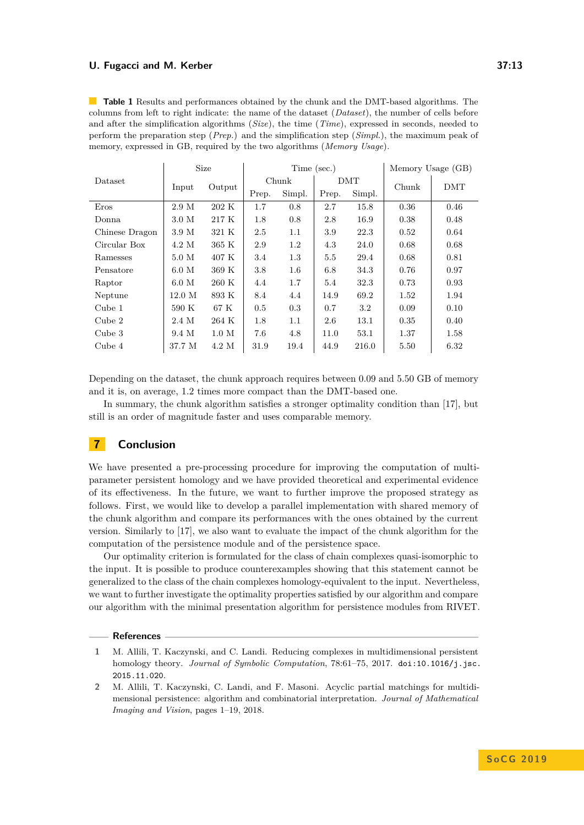<span id="page-12-2"></span>**Table 1** Results and performances obtained by the chunk and the DMT-based algorithms. The columns from left to right indicate: the name of the dataset (*Dataset*), the number of cells before and after the simplification algorithms (*Size*), the time (*Time*), expressed in seconds, needed to perform the preparation step (*Prep.*) and the simplification step (*Simpl.*), the maximum peak of memory, expressed in GB, required by the two algorithms (*Memory Usage*).

| Dataset           | <b>Size</b>    |        | Time (sec.) |         |       |        | Memory Usage (GB) |            |
|-------------------|----------------|--------|-------------|---------|-------|--------|-------------------|------------|
|                   | Input          | Output | Chunk       |         | DMT   |        | Chunk             | <b>DMT</b> |
|                   |                |        | Prep.       | Simpl.  | Prep. | Simpl. |                   |            |
| Eros              | 2.9 M          | 202 K  | 1.7         | 0.8     | 2.7   | 15.8   | 0.36              | 0.46       |
| Donna             | 3.0 M          | 217 K  | 1.8         | 0.8     | 2.8   | 16.9   | 0.38              | 0.48       |
| Chinese Dragon    | 3.9 M          | 321 K  | 2.5         | 1.1     | 3.9   | 22.3   | 0.52              | 0.64       |
| Circular Box      | 4.2 M          | 365 K  | 2.9         | $1.2\,$ | 4.3   | 24.0   | 0.68              | 0.68       |
| Ramesses          | 5.0 M          | 407 K  | 3.4         | 1.3     | 5.5   | 29.4   | 0.68              | 0.81       |
| Pensatore         | $6.0\text{ M}$ | 369 K  | 3.8         | $1.6\,$ | 6.8   | 34.3   | 0.76              | 0.97       |
| Raptor            | $6.0\text{ M}$ | 260 K  | 4.4         | 1.7     | 5.4   | 32.3   | 0.73              | 0.93       |
| Neptune           | 12.0 M         | 893 K  | 8.4         | 4.4     | 14.9  | 69.2   | 1.52              | 1.94       |
| Cube <sub>1</sub> | 590 K          | 67 K   | 0.5         | 0.3     | 0.7   | 3.2    | 0.09              | 0.10       |
| Cube <sub>2</sub> | 2.4 M          | 264 K  | 1.8         | 1.1     | 2.6   | 13.1   | 0.35              | 0.40       |
| Cube 3            | 9.4 M          | 1.0 M  | 7.6         | 4.8     | 11.0  | 53.1   | 1.37              | 1.58       |
| Cube 4            | 37.7 M         | 4.2 M  | 31.9        | 19.4    | 44.9  | 216.0  | 5.50              | 6.32       |

Depending on the dataset, the chunk approach requires between 0.09 and 5.50 GB of memory and it is, on average, 1.2 times more compact than the DMT-based one.

In summary, the chunk algorithm satisfies a stronger optimality condition than [\[17\]](#page-13-11), but still is an order of magnitude faster and uses comparable memory.

# **7 Conclusion**

We have presented a pre-processing procedure for improving the computation of multiparameter persistent homology and we have provided theoretical and experimental evidence of its effectiveness. In the future, we want to further improve the proposed strategy as follows. First, we would like to develop a parallel implementation with shared memory of the chunk algorithm and compare its performances with the ones obtained by the current version. Similarly to [\[17\]](#page-13-11), we also want to evaluate the impact of the chunk algorithm for the computation of the persistence module and of the persistence space.

Our optimality criterion is formulated for the class of chain complexes quasi-isomorphic to the input. It is possible to produce counterexamples showing that this statement cannot be generalized to the class of the chain complexes homology-equivalent to the input. Nevertheless, we want to further investigate the optimality properties satisfied by our algorithm and compare our algorithm with the minimal presentation algorithm for persistence modules from RIVET.

## **References**

<span id="page-12-0"></span>**<sup>1</sup>** M. Allili, T. Kaczynski, and C. Landi. Reducing complexes in multidimensional persistent homology theory. *Journal of Symbolic Computation*, 78:61–75, 2017. [doi:10.1016/j.jsc.](http://dx.doi.org/10.1016/j.jsc.2015.11.020) [2015.11.020](http://dx.doi.org/10.1016/j.jsc.2015.11.020).

<span id="page-12-1"></span>**<sup>2</sup>** M. Allili, T. Kaczynski, C. Landi, and F. Masoni. Acyclic partial matchings for multidimensional persistence: algorithm and combinatorial interpretation. *Journal of Mathematical Imaging and Vision*, pages 1–19, 2018.